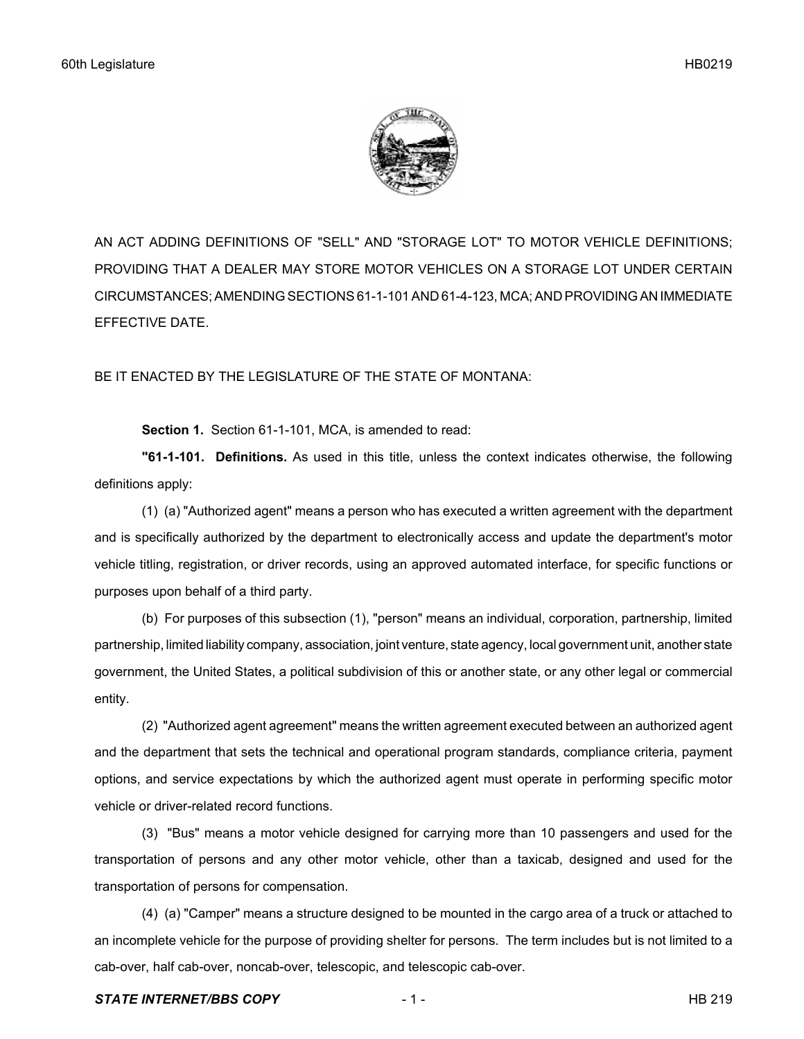

AN ACT ADDING DEFINITIONS OF "SELL" AND "STORAGE LOT" TO MOTOR VEHICLE DEFINITIONS; PROVIDING THAT A DEALER MAY STORE MOTOR VEHICLES ON A STORAGE LOT UNDER CERTAIN CIRCUMSTANCES; AMENDING SECTIONS 61-1-101 AND 61-4-123, MCA; AND PROVIDING AN IMMEDIATE EFFECTIVE DATE.

BE IT ENACTED BY THE LEGISLATURE OF THE STATE OF MONTANA:

**Section 1.** Section 61-1-101, MCA, is amended to read:

**"61-1-101. Definitions.** As used in this title, unless the context indicates otherwise, the following definitions apply:

(1) (a) "Authorized agent" means a person who has executed a written agreement with the department and is specifically authorized by the department to electronically access and update the department's motor vehicle titling, registration, or driver records, using an approved automated interface, for specific functions or purposes upon behalf of a third party.

(b) For purposes of this subsection (1), "person" means an individual, corporation, partnership, limited partnership, limited liability company, association, joint venture, state agency, local government unit, another state government, the United States, a political subdivision of this or another state, or any other legal or commercial entity.

(2) "Authorized agent agreement" means the written agreement executed between an authorized agent and the department that sets the technical and operational program standards, compliance criteria, payment options, and service expectations by which the authorized agent must operate in performing specific motor vehicle or driver-related record functions.

(3) "Bus" means a motor vehicle designed for carrying more than 10 passengers and used for the transportation of persons and any other motor vehicle, other than a taxicab, designed and used for the transportation of persons for compensation.

(4) (a) "Camper" means a structure designed to be mounted in the cargo area of a truck or attached to an incomplete vehicle for the purpose of providing shelter for persons. The term includes but is not limited to a cab-over, half cab-over, noncab-over, telescopic, and telescopic cab-over.

## **STATE INTERNET/BBS COPY**  $-1$  -  $-1$  -  $\blacksquare$   $\blacksquare$   $\blacksquare$   $\blacksquare$   $\blacksquare$   $\blacksquare$   $\blacksquare$   $\blacksquare$   $\blacksquare$   $\blacksquare$   $\blacksquare$   $\blacksquare$   $\blacksquare$   $\blacksquare$   $\blacksquare$   $\blacksquare$   $\blacksquare$   $\blacksquare$   $\blacksquare$   $\blacksquare$   $\blacksquare$   $\blacksquare$   $\blacksquare$   $\blacksquare$   $\blacksquare$   $\blacksquare$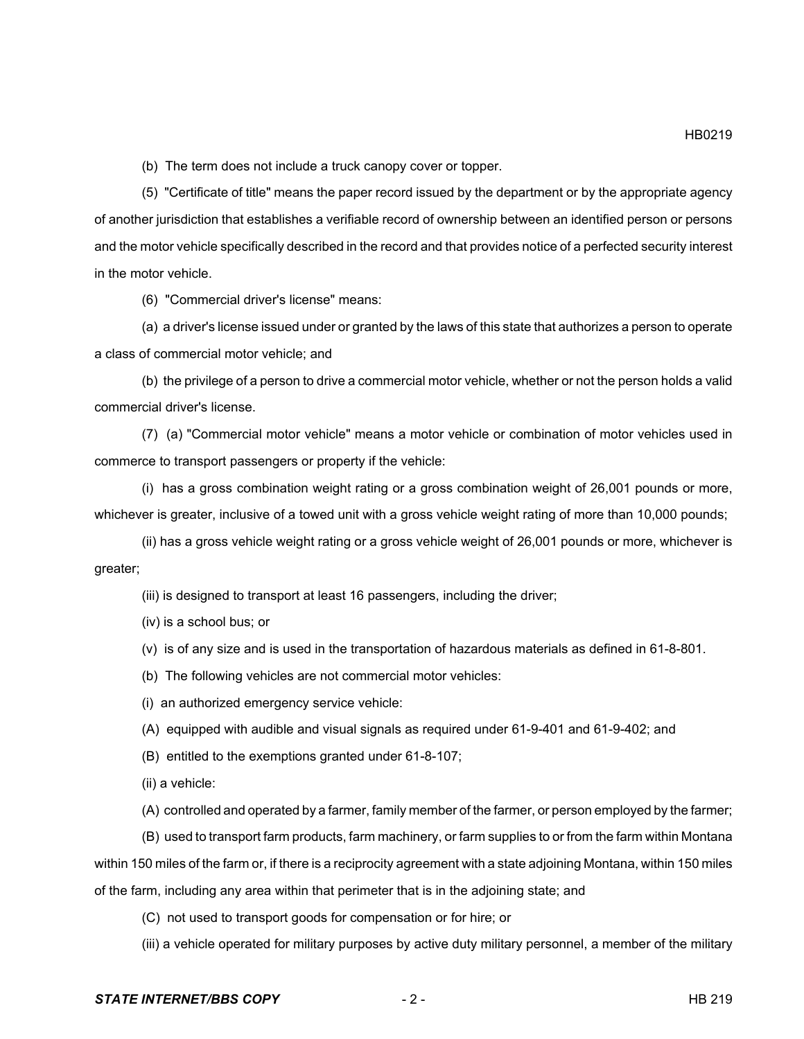(b) The term does not include a truck canopy cover or topper.

(5) "Certificate of title" means the paper record issued by the department or by the appropriate agency of another jurisdiction that establishes a verifiable record of ownership between an identified person or persons and the motor vehicle specifically described in the record and that provides notice of a perfected security interest in the motor vehicle.

(6) "Commercial driver's license" means:

(a) a driver's license issued under or granted by the laws of this state that authorizes a person to operate a class of commercial motor vehicle; and

(b) the privilege of a person to drive a commercial motor vehicle, whether or not the person holds a valid commercial driver's license.

(7) (a) "Commercial motor vehicle" means a motor vehicle or combination of motor vehicles used in commerce to transport passengers or property if the vehicle:

(i) has a gross combination weight rating or a gross combination weight of 26,001 pounds or more, whichever is greater, inclusive of a towed unit with a gross vehicle weight rating of more than 10,000 pounds;

(ii) has a gross vehicle weight rating or a gross vehicle weight of 26,001 pounds or more, whichever is greater;

(iii) is designed to transport at least 16 passengers, including the driver;

(iv) is a school bus; or

(v) is of any size and is used in the transportation of hazardous materials as defined in 61-8-801.

(b) The following vehicles are not commercial motor vehicles:

(i) an authorized emergency service vehicle:

(A) equipped with audible and visual signals as required under 61-9-401 and 61-9-402; and

(B) entitled to the exemptions granted under 61-8-107;

(ii) a vehicle:

(A) controlled and operated by a farmer, family member of the farmer, or person employed by the farmer;

(B) used to transport farm products, farm machinery, or farm supplies to or from the farm within Montana within 150 miles of the farm or, if there is a reciprocity agreement with a state adjoining Montana, within 150 miles of the farm, including any area within that perimeter that is in the adjoining state; and

(C) not used to transport goods for compensation or for hire; or

(iii) a vehicle operated for military purposes by active duty military personnel, a member of the military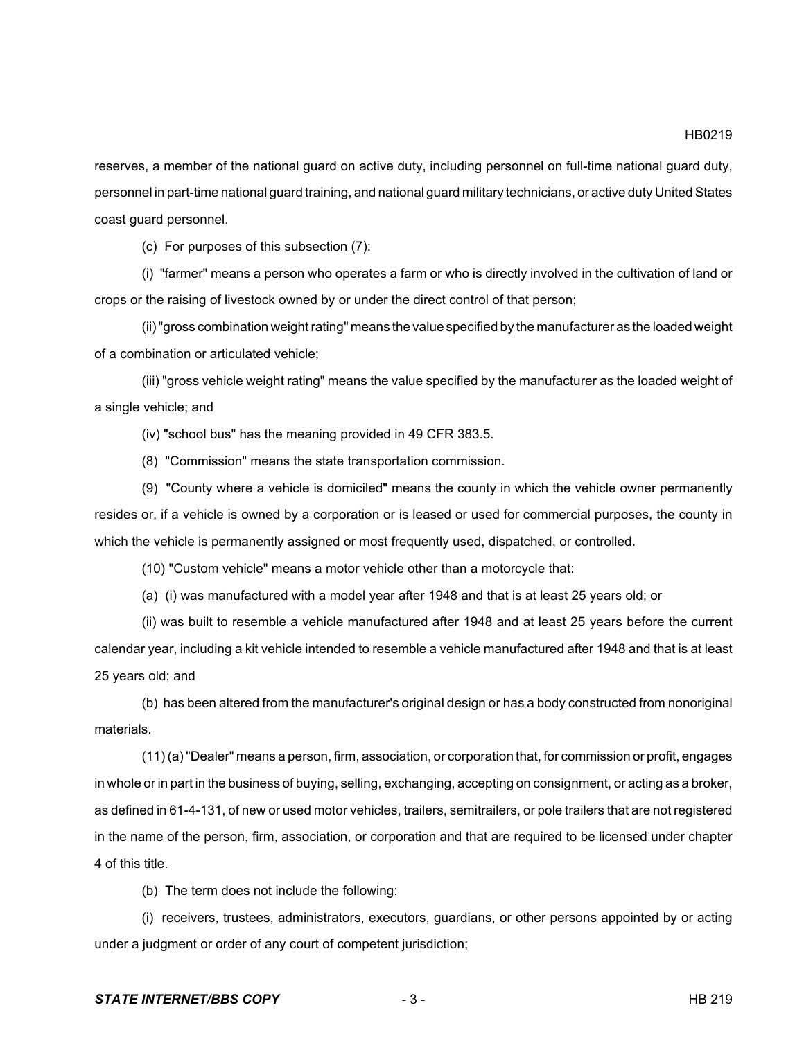reserves, a member of the national guard on active duty, including personnel on full-time national guard duty, personnel in part-time national guard training, and national guard military technicians, or active duty United States coast guard personnel.

(c) For purposes of this subsection (7):

(i) "farmer" means a person who operates a farm or who is directly involved in the cultivation of land or crops or the raising of livestock owned by or under the direct control of that person;

(ii) "gross combination weight rating" means the value specified by the manufacturer as the loaded weight of a combination or articulated vehicle;

(iii) "gross vehicle weight rating" means the value specified by the manufacturer as the loaded weight of a single vehicle; and

(iv) "school bus" has the meaning provided in 49 CFR 383.5.

(8) "Commission" means the state transportation commission.

(9) "County where a vehicle is domiciled" means the county in which the vehicle owner permanently resides or, if a vehicle is owned by a corporation or is leased or used for commercial purposes, the county in which the vehicle is permanently assigned or most frequently used, dispatched, or controlled.

(10) "Custom vehicle" means a motor vehicle other than a motorcycle that:

(a) (i) was manufactured with a model year after 1948 and that is at least 25 years old; or

(ii) was built to resemble a vehicle manufactured after 1948 and at least 25 years before the current calendar year, including a kit vehicle intended to resemble a vehicle manufactured after 1948 and that is at least 25 years old; and

(b) has been altered from the manufacturer's original design or has a body constructed from nonoriginal materials.

(11) (a) "Dealer" means a person, firm, association, or corporation that, for commission or profit, engages in whole or in part in the business of buying, selling, exchanging, accepting on consignment, or acting as a broker, as defined in 61-4-131, of new or used motor vehicles, trailers, semitrailers, or pole trailers that are not registered in the name of the person, firm, association, or corporation and that are required to be licensed under chapter 4 of this title.

(b) The term does not include the following:

(i) receivers, trustees, administrators, executors, guardians, or other persons appointed by or acting under a judgment or order of any court of competent jurisdiction;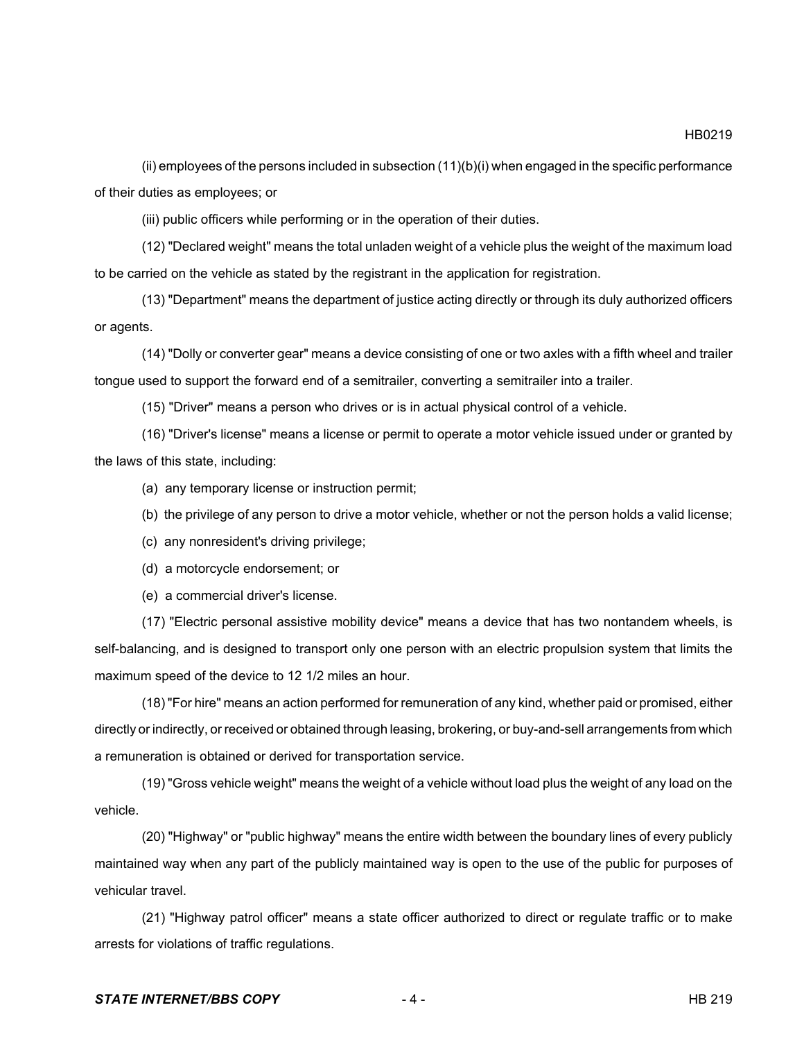(ii) employees of the persons included in subsection  $(11)(b)(i)$  when engaged in the specific performance of their duties as employees; or

(iii) public officers while performing or in the operation of their duties.

(12) "Declared weight" means the total unladen weight of a vehicle plus the weight of the maximum load to be carried on the vehicle as stated by the registrant in the application for registration.

(13) "Department" means the department of justice acting directly or through its duly authorized officers or agents.

(14) "Dolly or converter gear" means a device consisting of one or two axles with a fifth wheel and trailer tongue used to support the forward end of a semitrailer, converting a semitrailer into a trailer.

(15) "Driver" means a person who drives or is in actual physical control of a vehicle.

(16) "Driver's license" means a license or permit to operate a motor vehicle issued under or granted by the laws of this state, including:

(a) any temporary license or instruction permit;

(b) the privilege of any person to drive a motor vehicle, whether or not the person holds a valid license;

- (c) any nonresident's driving privilege;
- (d) a motorcycle endorsement; or

(e) a commercial driver's license.

(17) "Electric personal assistive mobility device" means a device that has two nontandem wheels, is self-balancing, and is designed to transport only one person with an electric propulsion system that limits the maximum speed of the device to 12 1/2 miles an hour.

(18) "For hire" means an action performed for remuneration of any kind, whether paid or promised, either directly or indirectly, or received or obtained through leasing, brokering, or buy-and-sell arrangements from which a remuneration is obtained or derived for transportation service.

(19) "Gross vehicle weight" means the weight of a vehicle without load plus the weight of any load on the vehicle.

(20) "Highway" or "public highway" means the entire width between the boundary lines of every publicly maintained way when any part of the publicly maintained way is open to the use of the public for purposes of vehicular travel.

(21) "Highway patrol officer" means a state officer authorized to direct or regulate traffic or to make arrests for violations of traffic regulations.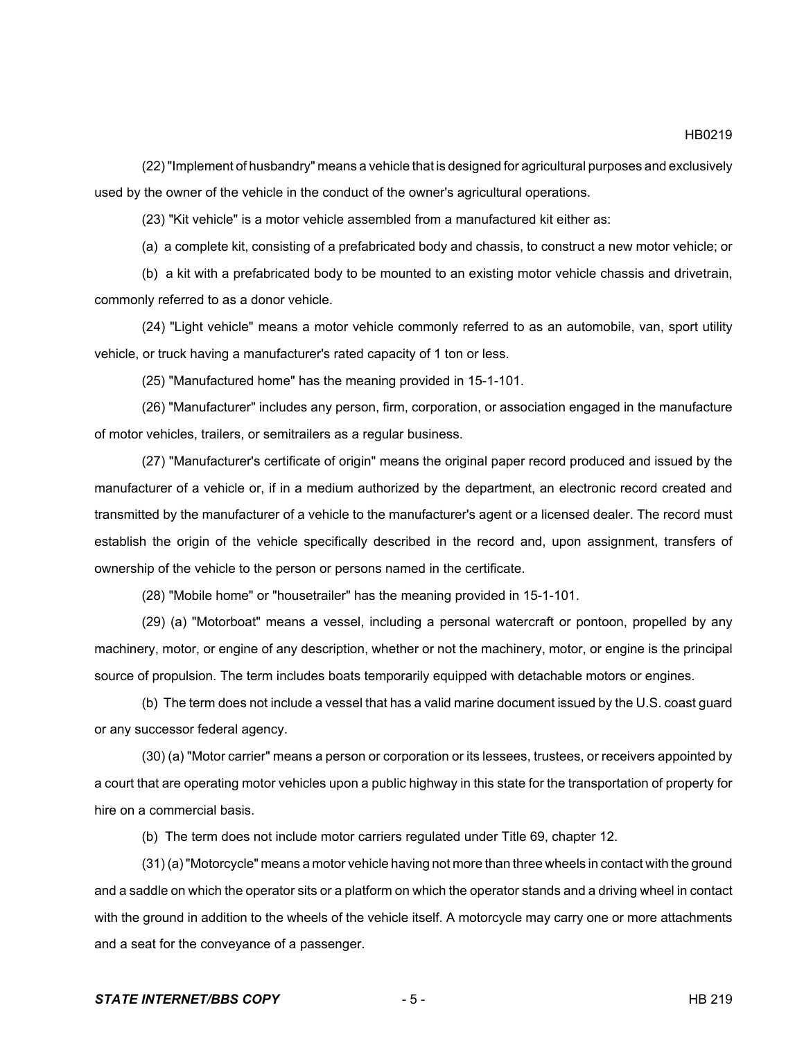(22) "Implement of husbandry" means a vehicle that is designed for agricultural purposes and exclusively used by the owner of the vehicle in the conduct of the owner's agricultural operations.

(23) "Kit vehicle" is a motor vehicle assembled from a manufactured kit either as:

(a) a complete kit, consisting of a prefabricated body and chassis, to construct a new motor vehicle; or

(b) a kit with a prefabricated body to be mounted to an existing motor vehicle chassis and drivetrain, commonly referred to as a donor vehicle.

(24) "Light vehicle" means a motor vehicle commonly referred to as an automobile, van, sport utility vehicle, or truck having a manufacturer's rated capacity of 1 ton or less.

(25) "Manufactured home" has the meaning provided in 15-1-101.

(26) "Manufacturer" includes any person, firm, corporation, or association engaged in the manufacture of motor vehicles, trailers, or semitrailers as a regular business.

(27) "Manufacturer's certificate of origin" means the original paper record produced and issued by the manufacturer of a vehicle or, if in a medium authorized by the department, an electronic record created and transmitted by the manufacturer of a vehicle to the manufacturer's agent or a licensed dealer. The record must establish the origin of the vehicle specifically described in the record and, upon assignment, transfers of ownership of the vehicle to the person or persons named in the certificate.

(28) "Mobile home" or "housetrailer" has the meaning provided in 15-1-101.

(29) (a) "Motorboat" means a vessel, including a personal watercraft or pontoon, propelled by any machinery, motor, or engine of any description, whether or not the machinery, motor, or engine is the principal source of propulsion. The term includes boats temporarily equipped with detachable motors or engines.

(b) The term does not include a vessel that has a valid marine document issued by the U.S. coast guard or any successor federal agency.

(30) (a) "Motor carrier" means a person or corporation or its lessees, trustees, or receivers appointed by a court that are operating motor vehicles upon a public highway in this state for the transportation of property for hire on a commercial basis.

(b) The term does not include motor carriers regulated under Title 69, chapter 12.

(31) (a) "Motorcycle" means a motor vehicle having not more than three wheels in contact with the ground and a saddle on which the operator sits or a platform on which the operator stands and a driving wheel in contact with the ground in addition to the wheels of the vehicle itself. A motorcycle may carry one or more attachments and a seat for the conveyance of a passenger.

HB0219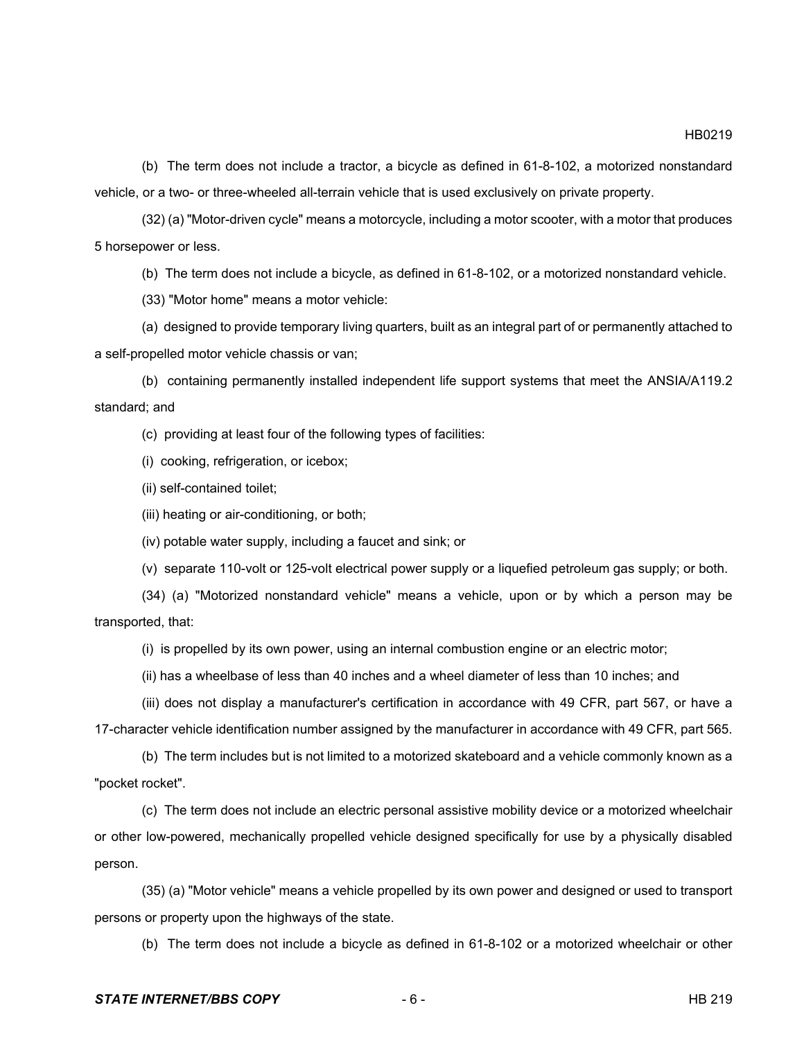(b) The term does not include a tractor, a bicycle as defined in 61-8-102, a motorized nonstandard vehicle, or a two- or three-wheeled all-terrain vehicle that is used exclusively on private property.

(32) (a) "Motor-driven cycle" means a motorcycle, including a motor scooter, with a motor that produces 5 horsepower or less.

(b) The term does not include a bicycle, as defined in 61-8-102, or a motorized nonstandard vehicle.

(33) "Motor home" means a motor vehicle:

(a) designed to provide temporary living quarters, built as an integral part of or permanently attached to a self-propelled motor vehicle chassis or van;

(b) containing permanently installed independent life support systems that meet the ANSIA/A119.2 standard; and

(c) providing at least four of the following types of facilities:

(i) cooking, refrigeration, or icebox;

(ii) self-contained toilet;

(iii) heating or air-conditioning, or both;

(iv) potable water supply, including a faucet and sink; or

(v) separate 110-volt or 125-volt electrical power supply or a liquefied petroleum gas supply; or both.

(34) (a) "Motorized nonstandard vehicle" means a vehicle, upon or by which a person may be transported, that:

(i) is propelled by its own power, using an internal combustion engine or an electric motor;

(ii) has a wheelbase of less than 40 inches and a wheel diameter of less than 10 inches; and

(iii) does not display a manufacturer's certification in accordance with 49 CFR, part 567, or have a 17-character vehicle identification number assigned by the manufacturer in accordance with 49 CFR, part 565.

(b) The term includes but is not limited to a motorized skateboard and a vehicle commonly known as a "pocket rocket".

(c) The term does not include an electric personal assistive mobility device or a motorized wheelchair or other low-powered, mechanically propelled vehicle designed specifically for use by a physically disabled person.

(35) (a) "Motor vehicle" means a vehicle propelled by its own power and designed or used to transport persons or property upon the highways of the state.

(b) The term does not include a bicycle as defined in 61-8-102 or a motorized wheelchair or other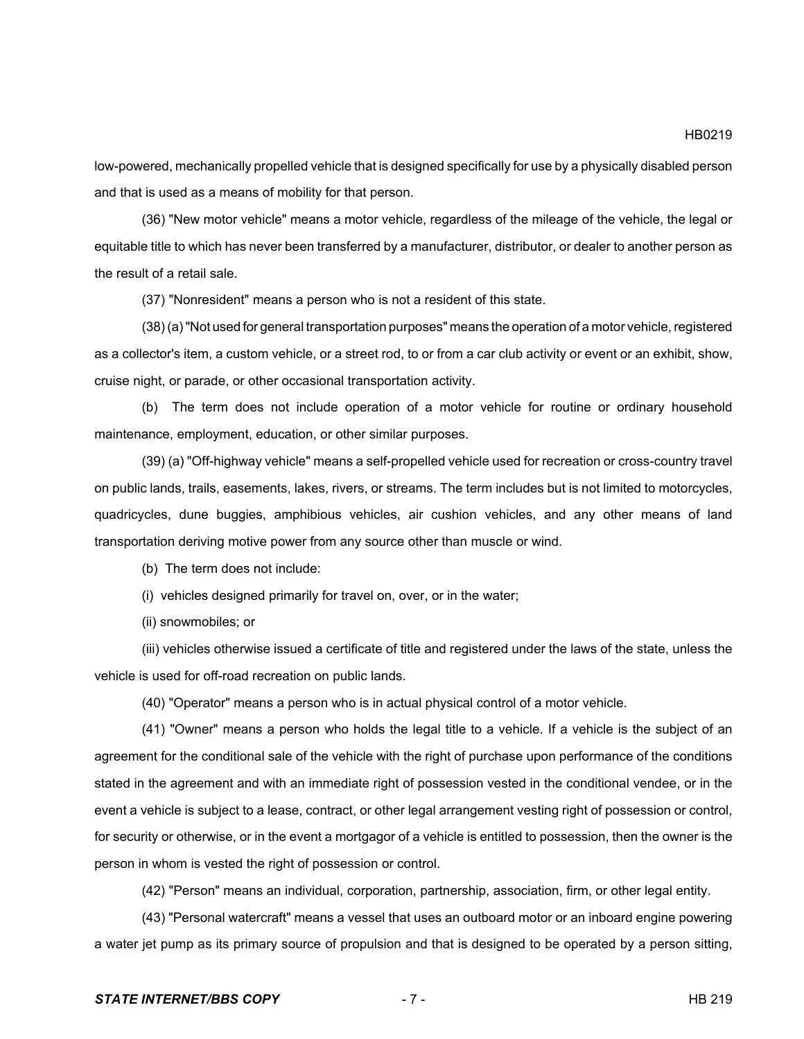low-powered, mechanically propelled vehicle that is designed specifically for use by a physically disabled person and that is used as a means of mobility for that person.

(36) "New motor vehicle" means a motor vehicle, regardless of the mileage of the vehicle, the legal or equitable title to which has never been transferred by a manufacturer, distributor, or dealer to another person as the result of a retail sale.

(37) "Nonresident" means a person who is not a resident of this state.

(38) (a) "Not used for general transportation purposes" means the operation of a motor vehicle, registered as a collector's item, a custom vehicle, or a street rod, to or from a car club activity or event or an exhibit, show, cruise night, or parade, or other occasional transportation activity.

(b) The term does not include operation of a motor vehicle for routine or ordinary household maintenance, employment, education, or other similar purposes.

(39) (a) "Off-highway vehicle" means a self-propelled vehicle used for recreation or cross-country travel on public lands, trails, easements, lakes, rivers, or streams. The term includes but is not limited to motorcycles, quadricycles, dune buggies, amphibious vehicles, air cushion vehicles, and any other means of land transportation deriving motive power from any source other than muscle or wind.

(b) The term does not include:

(i) vehicles designed primarily for travel on, over, or in the water;

(ii) snowmobiles; or

(iii) vehicles otherwise issued a certificate of title and registered under the laws of the state, unless the vehicle is used for off-road recreation on public lands.

(40) "Operator" means a person who is in actual physical control of a motor vehicle.

(41) "Owner" means a person who holds the legal title to a vehicle. If a vehicle is the subject of an agreement for the conditional sale of the vehicle with the right of purchase upon performance of the conditions stated in the agreement and with an immediate right of possession vested in the conditional vendee, or in the event a vehicle is subject to a lease, contract, or other legal arrangement vesting right of possession or control, for security or otherwise, or in the event a mortgagor of a vehicle is entitled to possession, then the owner is the person in whom is vested the right of possession or control.

(42) "Person" means an individual, corporation, partnership, association, firm, or other legal entity.

(43) "Personal watercraft" means a vessel that uses an outboard motor or an inboard engine powering a water jet pump as its primary source of propulsion and that is designed to be operated by a person sitting,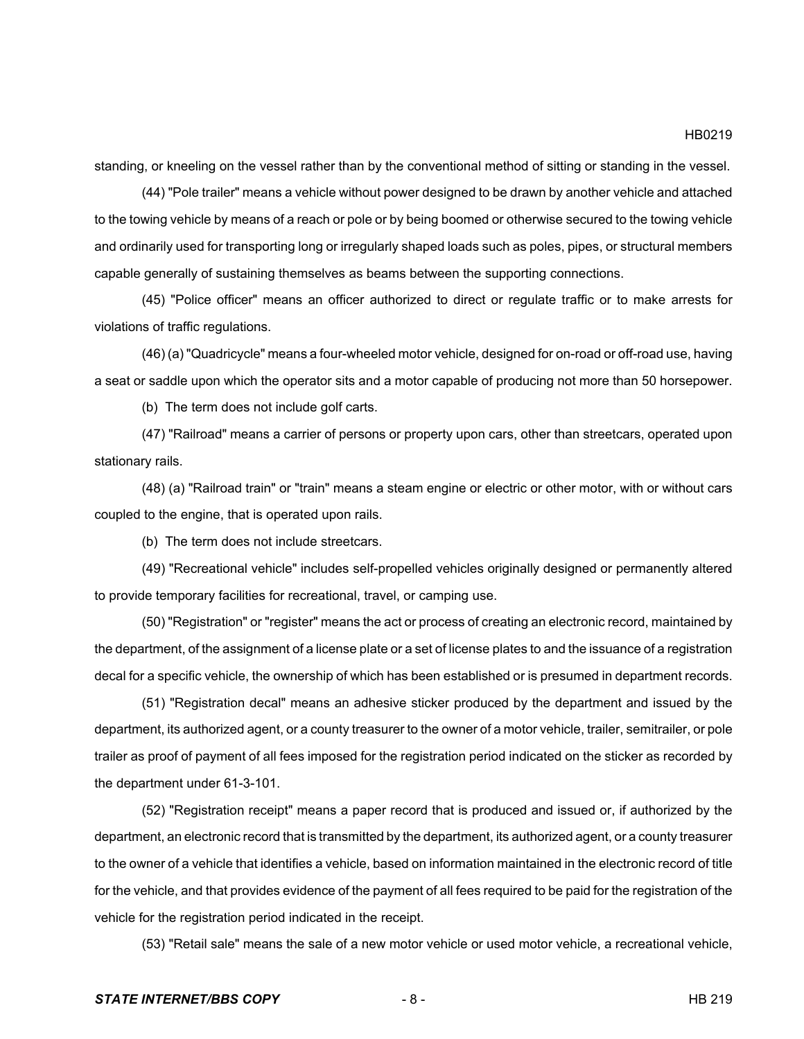standing, or kneeling on the vessel rather than by the conventional method of sitting or standing in the vessel.

(44) "Pole trailer" means a vehicle without power designed to be drawn by another vehicle and attached to the towing vehicle by means of a reach or pole or by being boomed or otherwise secured to the towing vehicle and ordinarily used for transporting long or irregularly shaped loads such as poles, pipes, or structural members capable generally of sustaining themselves as beams between the supporting connections.

(45) "Police officer" means an officer authorized to direct or regulate traffic or to make arrests for violations of traffic regulations.

(46) (a) "Quadricycle" means a four-wheeled motor vehicle, designed for on-road or off-road use, having a seat or saddle upon which the operator sits and a motor capable of producing not more than 50 horsepower.

(b) The term does not include golf carts.

(47) "Railroad" means a carrier of persons or property upon cars, other than streetcars, operated upon stationary rails.

(48) (a) "Railroad train" or "train" means a steam engine or electric or other motor, with or without cars coupled to the engine, that is operated upon rails.

(b) The term does not include streetcars.

(49) "Recreational vehicle" includes self-propelled vehicles originally designed or permanently altered to provide temporary facilities for recreational, travel, or camping use.

(50) "Registration" or "register" means the act or process of creating an electronic record, maintained by the department, of the assignment of a license plate or a set of license plates to and the issuance of a registration decal for a specific vehicle, the ownership of which has been established or is presumed in department records.

(51) "Registration decal" means an adhesive sticker produced by the department and issued by the department, its authorized agent, or a county treasurer to the owner of a motor vehicle, trailer, semitrailer, or pole trailer as proof of payment of all fees imposed for the registration period indicated on the sticker as recorded by the department under 61-3-101.

(52) "Registration receipt" means a paper record that is produced and issued or, if authorized by the department, an electronic record that is transmitted by the department, its authorized agent, or a county treasurer to the owner of a vehicle that identifies a vehicle, based on information maintained in the electronic record of title for the vehicle, and that provides evidence of the payment of all fees required to be paid for the registration of the vehicle for the registration period indicated in the receipt.

(53) "Retail sale" means the sale of a new motor vehicle or used motor vehicle, a recreational vehicle,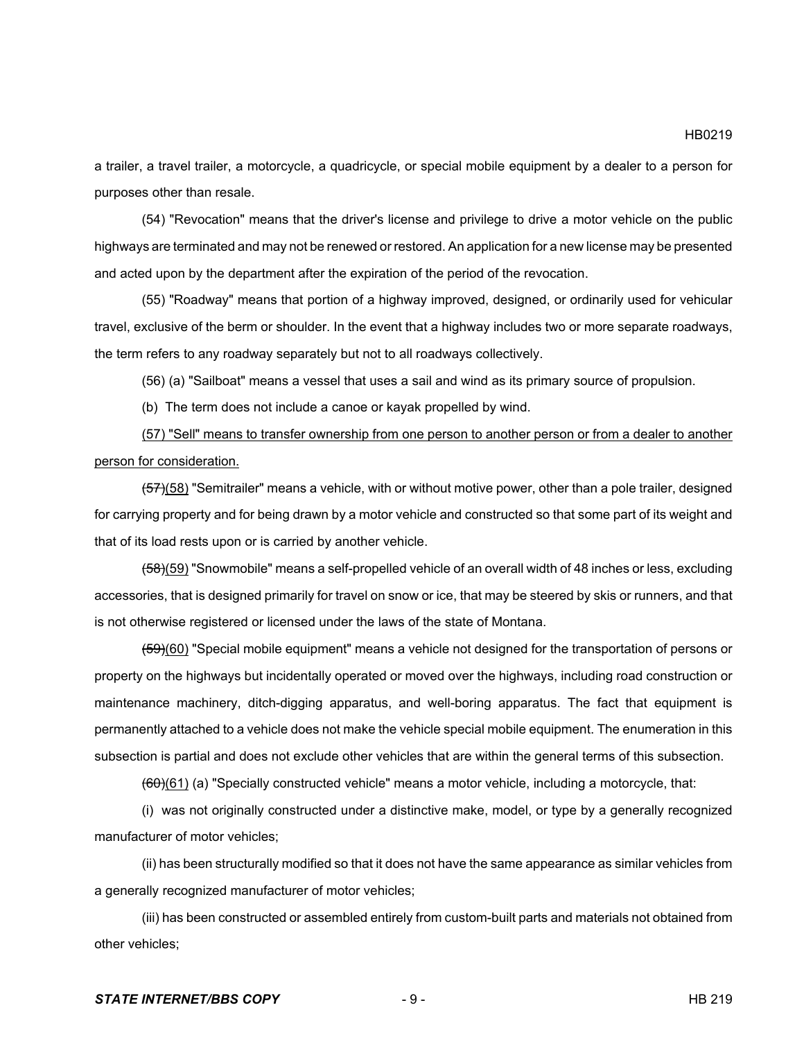HB0219

a trailer, a travel trailer, a motorcycle, a quadricycle, or special mobile equipment by a dealer to a person for purposes other than resale.

(54) "Revocation" means that the driver's license and privilege to drive a motor vehicle on the public highways are terminated and may not be renewed or restored. An application for a new license may be presented and acted upon by the department after the expiration of the period of the revocation.

(55) "Roadway" means that portion of a highway improved, designed, or ordinarily used for vehicular travel, exclusive of the berm or shoulder. In the event that a highway includes two or more separate roadways, the term refers to any roadway separately but not to all roadways collectively.

(56) (a) "Sailboat" means a vessel that uses a sail and wind as its primary source of propulsion.

(b) The term does not include a canoe or kayak propelled by wind.

(57) "Sell" means to transfer ownership from one person to another person or from a dealer to another person for consideration.

(57)(58) "Semitrailer" means a vehicle, with or without motive power, other than a pole trailer, designed for carrying property and for being drawn by a motor vehicle and constructed so that some part of its weight and that of its load rests upon or is carried by another vehicle.

(58)(59) "Snowmobile" means a self-propelled vehicle of an overall width of 48 inches or less, excluding accessories, that is designed primarily for travel on snow or ice, that may be steered by skis or runners, and that is not otherwise registered or licensed under the laws of the state of Montana.

(59)(60) "Special mobile equipment" means a vehicle not designed for the transportation of persons or property on the highways but incidentally operated or moved over the highways, including road construction or maintenance machinery, ditch-digging apparatus, and well-boring apparatus. The fact that equipment is permanently attached to a vehicle does not make the vehicle special mobile equipment. The enumeration in this subsection is partial and does not exclude other vehicles that are within the general terms of this subsection.

 $(60)(61)$  (a) "Specially constructed vehicle" means a motor vehicle, including a motorcycle, that:

(i) was not originally constructed under a distinctive make, model, or type by a generally recognized manufacturer of motor vehicles;

(ii) has been structurally modified so that it does not have the same appearance as similar vehicles from a generally recognized manufacturer of motor vehicles;

(iii) has been constructed or assembled entirely from custom-built parts and materials not obtained from other vehicles;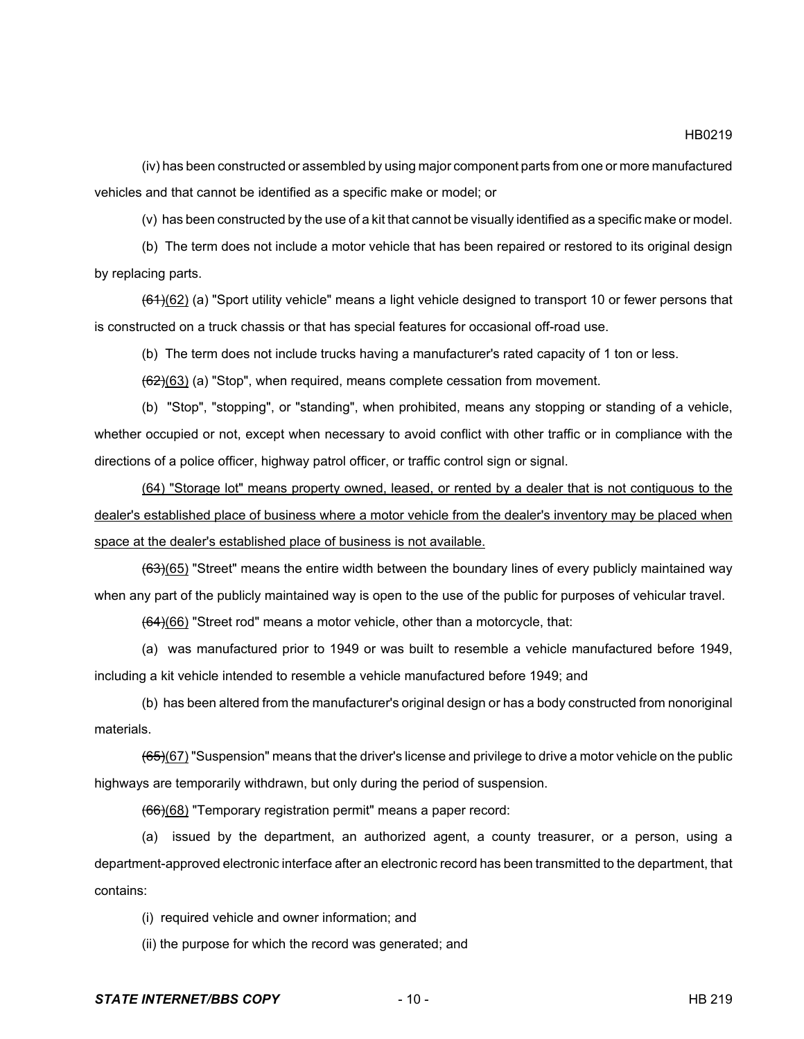HB0219

(iv) has been constructed or assembled by using major component parts from one or more manufactured vehicles and that cannot be identified as a specific make or model; or

(v) has been constructed by the use of a kit that cannot be visually identified as a specific make or model.

(b) The term does not include a motor vehicle that has been repaired or restored to its original design by replacing parts.

 $(61)(62)$  (a) "Sport utility vehicle" means a light vehicle designed to transport 10 or fewer persons that is constructed on a truck chassis or that has special features for occasional off-road use.

(b) The term does not include trucks having a manufacturer's rated capacity of 1 ton or less.

 $\left(\frac{62}{63}\right)$  (a) "Stop", when required, means complete cessation from movement.

(b) "Stop", "stopping", or "standing", when prohibited, means any stopping or standing of a vehicle, whether occupied or not, except when necessary to avoid conflict with other traffic or in compliance with the directions of a police officer, highway patrol officer, or traffic control sign or signal.

(64) "Storage lot" means property owned, leased, or rented by a dealer that is not contiguous to the dealer's established place of business where a motor vehicle from the dealer's inventory may be placed when space at the dealer's established place of business is not available.

(63)(65) "Street" means the entire width between the boundary lines of every publicly maintained way when any part of the publicly maintained way is open to the use of the public for purposes of vehicular travel.

 $(64)(66)$  "Street rod" means a motor vehicle, other than a motorcycle, that:

(a) was manufactured prior to 1949 or was built to resemble a vehicle manufactured before 1949, including a kit vehicle intended to resemble a vehicle manufactured before 1949; and

(b) has been altered from the manufacturer's original design or has a body constructed from nonoriginal materials.

 $(65)(67)$  "Suspension" means that the driver's license and privilege to drive a motor vehicle on the public highways are temporarily withdrawn, but only during the period of suspension.

(66)(68) "Temporary registration permit" means a paper record:

(a) issued by the department, an authorized agent, a county treasurer, or a person, using a department-approved electronic interface after an electronic record has been transmitted to the department, that contains:

(i) required vehicle and owner information; and

(ii) the purpose for which the record was generated; and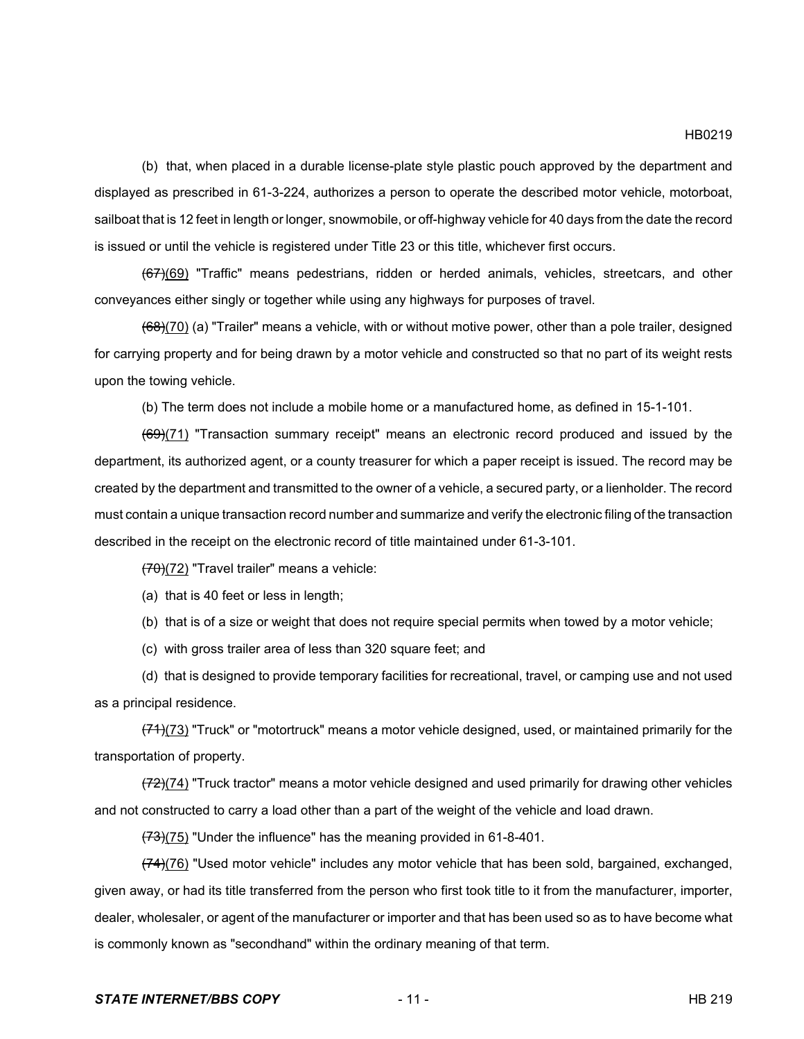(b) that, when placed in a durable license-plate style plastic pouch approved by the department and displayed as prescribed in 61-3-224, authorizes a person to operate the described motor vehicle, motorboat, sailboat that is 12 feet in length or longer, snowmobile, or off-highway vehicle for 40 days from the date the record is issued or until the vehicle is registered under Title 23 or this title, whichever first occurs.

(67)(69) "Traffic" means pedestrians, ridden or herded animals, vehicles, streetcars, and other conveyances either singly or together while using any highways for purposes of travel.

(68)(70) (a) "Trailer" means a vehicle, with or without motive power, other than a pole trailer, designed for carrying property and for being drawn by a motor vehicle and constructed so that no part of its weight rests upon the towing vehicle.

(b) The term does not include a mobile home or a manufactured home, as defined in 15-1-101.

 $(69)(71)$  "Transaction summary receipt" means an electronic record produced and issued by the department, its authorized agent, or a county treasurer for which a paper receipt is issued. The record may be created by the department and transmitted to the owner of a vehicle, a secured party, or a lienholder. The record must contain a unique transaction record number and summarize and verify the electronic filing of the transaction described in the receipt on the electronic record of title maintained under 61-3-101.

(70)(72) "Travel trailer" means a vehicle:

(a) that is 40 feet or less in length;

(b) that is of a size or weight that does not require special permits when towed by a motor vehicle;

(c) with gross trailer area of less than 320 square feet; and

(d) that is designed to provide temporary facilities for recreational, travel, or camping use and not used as a principal residence.

 $(71)(73)$  "Truck" or "motortruck" means a motor vehicle designed, used, or maintained primarily for the transportation of property.

 $(72)(74)$  "Truck tractor" means a motor vehicle designed and used primarily for drawing other vehicles and not constructed to carry a load other than a part of the weight of the vehicle and load drawn.

 $(73)(75)$  "Under the influence" has the meaning provided in 61-8-401.

 $(74)(76)$  "Used motor vehicle" includes any motor vehicle that has been sold, bargained, exchanged, given away, or had its title transferred from the person who first took title to it from the manufacturer, importer, dealer, wholesaler, or agent of the manufacturer or importer and that has been used so as to have become what is commonly known as "secondhand" within the ordinary meaning of that term.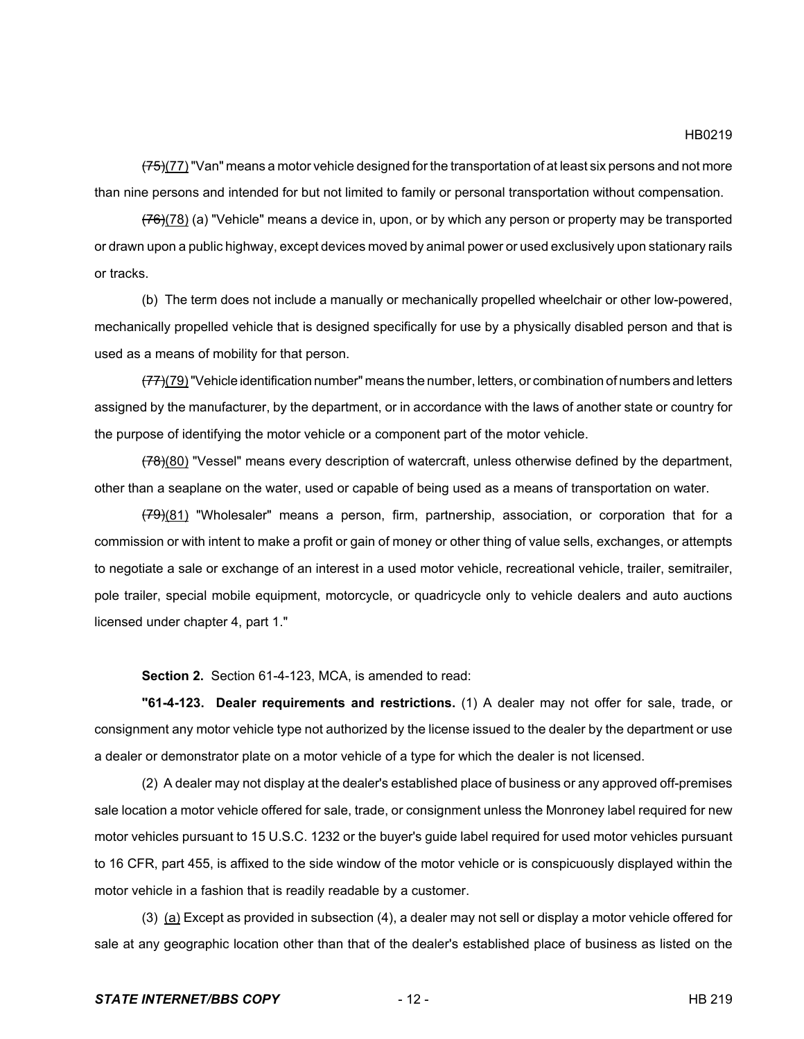(77) "Van" means a motor vehicle designed for the transportation of at least six persons and not more than nine persons and intended for but not limited to family or personal transportation without compensation.

 $(76)(78)$  (a) "Vehicle" means a device in, upon, or by which any person or property may be transported or drawn upon a public highway, except devices moved by animal power or used exclusively upon stationary rails or tracks.

(b) The term does not include a manually or mechanically propelled wheelchair or other low-powered, mechanically propelled vehicle that is designed specifically for use by a physically disabled person and that is used as a means of mobility for that person.

(77)(79) "Vehicle identification number" means the number, letters, or combination of numbers and letters assigned by the manufacturer, by the department, or in accordance with the laws of another state or country for the purpose of identifying the motor vehicle or a component part of the motor vehicle.

(78)(80) "Vessel" means every description of watercraft, unless otherwise defined by the department, other than a seaplane on the water, used or capable of being used as a means of transportation on water.

(79)(81) "Wholesaler" means a person, firm, partnership, association, or corporation that for a commission or with intent to make a profit or gain of money or other thing of value sells, exchanges, or attempts to negotiate a sale or exchange of an interest in a used motor vehicle, recreational vehicle, trailer, semitrailer, pole trailer, special mobile equipment, motorcycle, or quadricycle only to vehicle dealers and auto auctions licensed under chapter 4, part 1."

**Section 2.** Section 61-4-123, MCA, is amended to read:

**"61-4-123. Dealer requirements and restrictions.** (1) A dealer may not offer for sale, trade, or consignment any motor vehicle type not authorized by the license issued to the dealer by the department or use a dealer or demonstrator plate on a motor vehicle of a type for which the dealer is not licensed.

(2) A dealer may not display at the dealer's established place of business or any approved off-premises sale location a motor vehicle offered for sale, trade, or consignment unless the Monroney label required for new motor vehicles pursuant to 15 U.S.C. 1232 or the buyer's guide label required for used motor vehicles pursuant to 16 CFR, part 455, is affixed to the side window of the motor vehicle or is conspicuously displayed within the motor vehicle in a fashion that is readily readable by a customer.

(3) (a) Except as provided in subsection (4), a dealer may not sell or display a motor vehicle offered for sale at any geographic location other than that of the dealer's established place of business as listed on the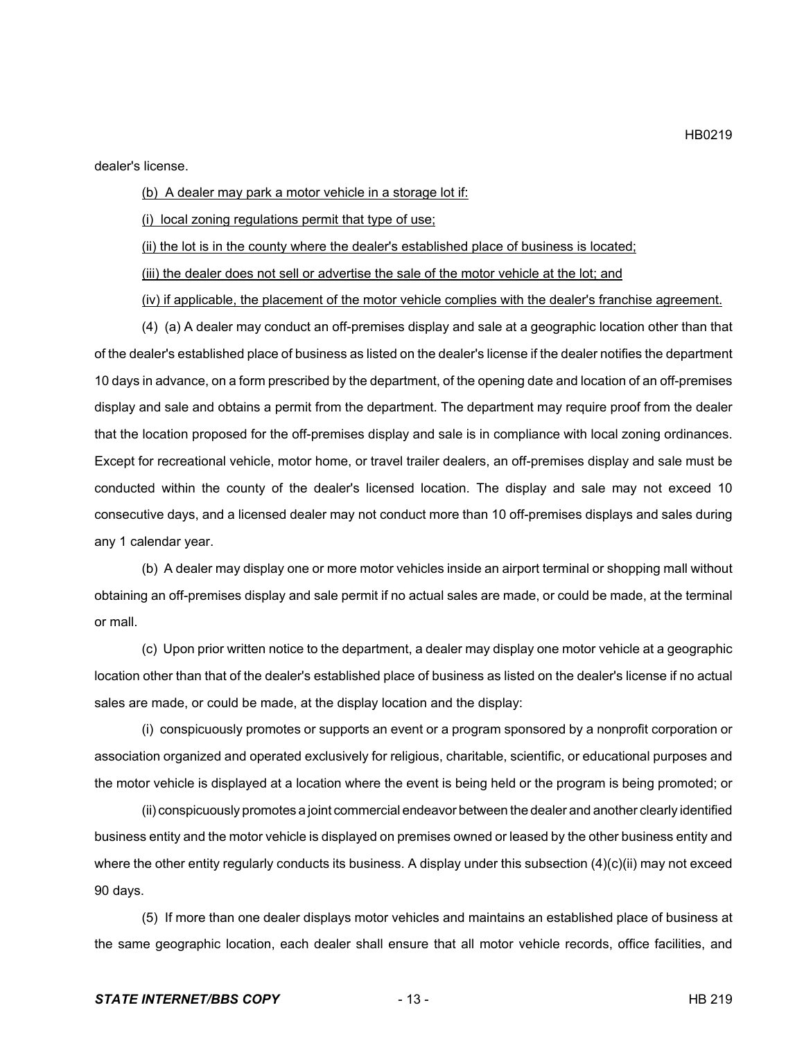dealer's license.

(b) A dealer may park a motor vehicle in a storage lot if:

(i) local zoning regulations permit that type of use;

(ii) the lot is in the county where the dealer's established place of business is located;

(iii) the dealer does not sell or advertise the sale of the motor vehicle at the lot; and

(iv) if applicable, the placement of the motor vehicle complies with the dealer's franchise agreement.

(4) (a) A dealer may conduct an off-premises display and sale at a geographic location other than that of the dealer's established place of business as listed on the dealer's license if the dealer notifies the department 10 days in advance, on a form prescribed by the department, of the opening date and location of an off-premises display and sale and obtains a permit from the department. The department may require proof from the dealer that the location proposed for the off-premises display and sale is in compliance with local zoning ordinances. Except for recreational vehicle, motor home, or travel trailer dealers, an off-premises display and sale must be conducted within the county of the dealer's licensed location. The display and sale may not exceed 10 consecutive days, and a licensed dealer may not conduct more than 10 off-premises displays and sales during any 1 calendar year.

(b) A dealer may display one or more motor vehicles inside an airport terminal or shopping mall without obtaining an off-premises display and sale permit if no actual sales are made, or could be made, at the terminal or mall.

(c) Upon prior written notice to the department, a dealer may display one motor vehicle at a geographic location other than that of the dealer's established place of business as listed on the dealer's license if no actual sales are made, or could be made, at the display location and the display:

(i) conspicuously promotes or supports an event or a program sponsored by a nonprofit corporation or association organized and operated exclusively for religious, charitable, scientific, or educational purposes and the motor vehicle is displayed at a location where the event is being held or the program is being promoted; or

(ii) conspicuously promotes a joint commercial endeavor between the dealer and another clearly identified business entity and the motor vehicle is displayed on premises owned or leased by the other business entity and where the other entity regularly conducts its business. A display under this subsection (4)(c)(ii) may not exceed 90 days.

(5) If more than one dealer displays motor vehicles and maintains an established place of business at the same geographic location, each dealer shall ensure that all motor vehicle records, office facilities, and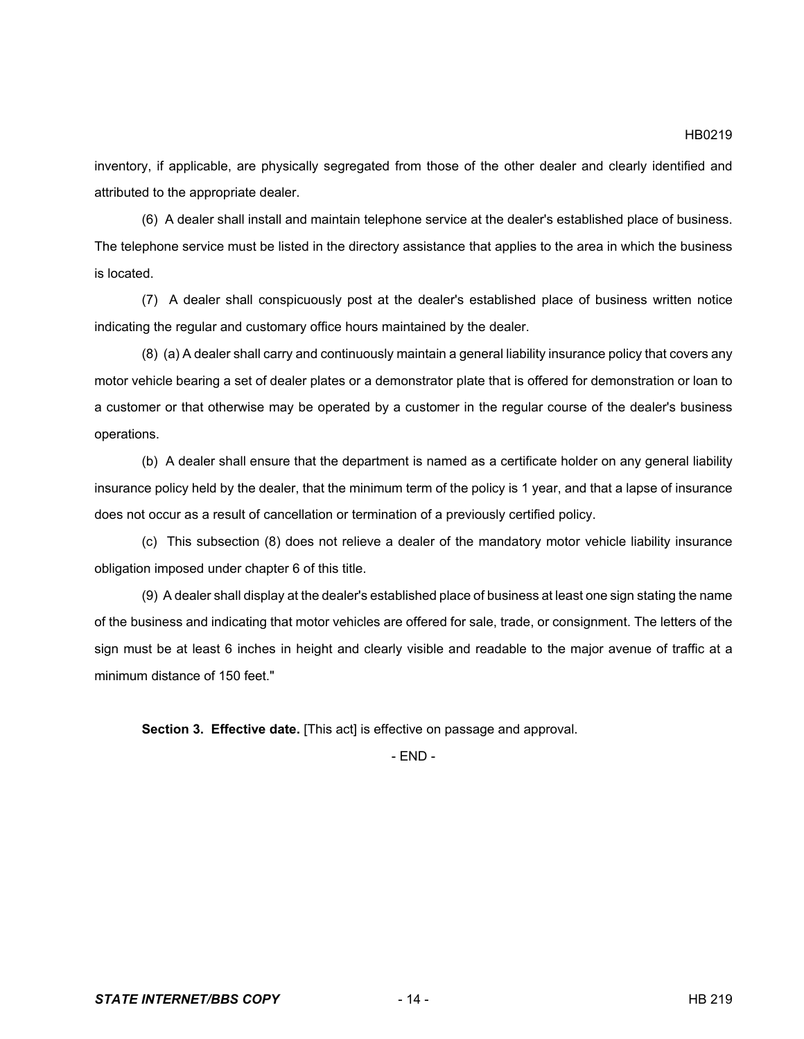inventory, if applicable, are physically segregated from those of the other dealer and clearly identified and attributed to the appropriate dealer.

(6) A dealer shall install and maintain telephone service at the dealer's established place of business. The telephone service must be listed in the directory assistance that applies to the area in which the business is located.

(7) A dealer shall conspicuously post at the dealer's established place of business written notice indicating the regular and customary office hours maintained by the dealer.

(8) (a) A dealer shall carry and continuously maintain a general liability insurance policy that covers any motor vehicle bearing a set of dealer plates or a demonstrator plate that is offered for demonstration or loan to a customer or that otherwise may be operated by a customer in the regular course of the dealer's business operations.

(b) A dealer shall ensure that the department is named as a certificate holder on any general liability insurance policy held by the dealer, that the minimum term of the policy is 1 year, and that a lapse of insurance does not occur as a result of cancellation or termination of a previously certified policy.

(c) This subsection (8) does not relieve a dealer of the mandatory motor vehicle liability insurance obligation imposed under chapter 6 of this title.

(9) A dealer shall display at the dealer's established place of business at least one sign stating the name of the business and indicating that motor vehicles are offered for sale, trade, or consignment. The letters of the sign must be at least 6 inches in height and clearly visible and readable to the major avenue of traffic at a minimum distance of 150 feet."

**Section 3. Effective date.** [This act] is effective on passage and approval.

- END -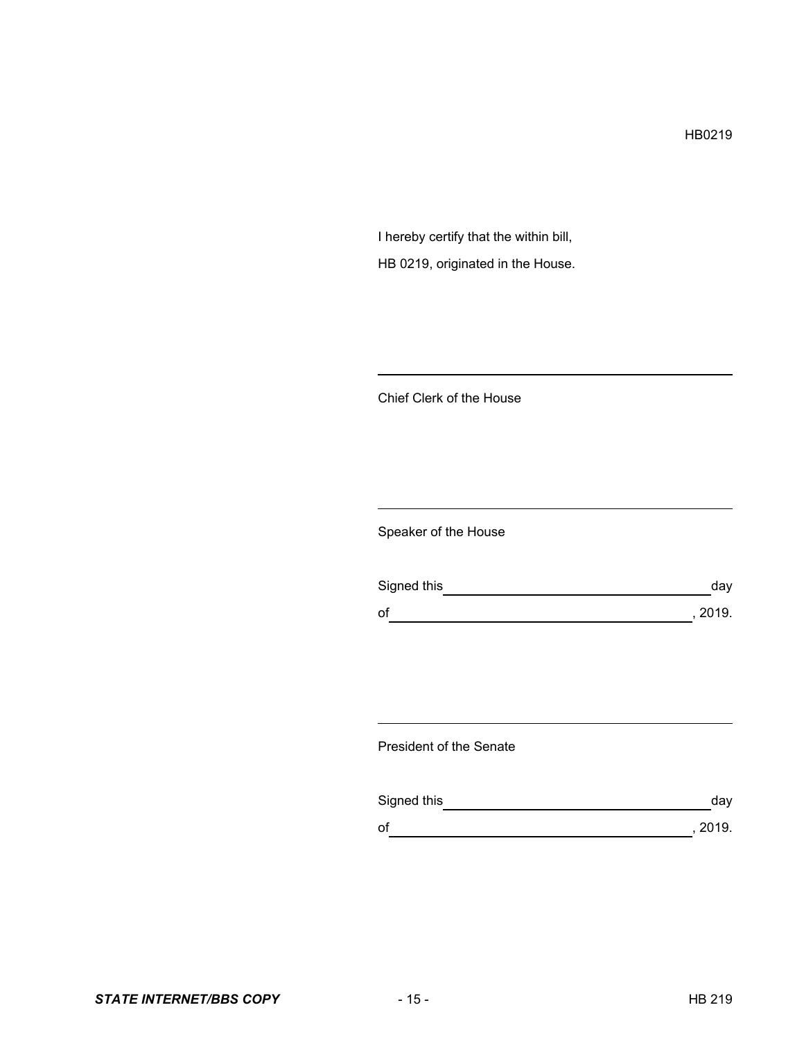HB0219

I hereby certify that the within bill, HB 0219, originated in the House.

Chief Clerk of the House

Speaker of the House

| Signed this | dav     |
|-------------|---------|
| of          | , 2019. |

President of the Senate

| Signed this | day     |
|-------------|---------|
| of          | , 2019. |